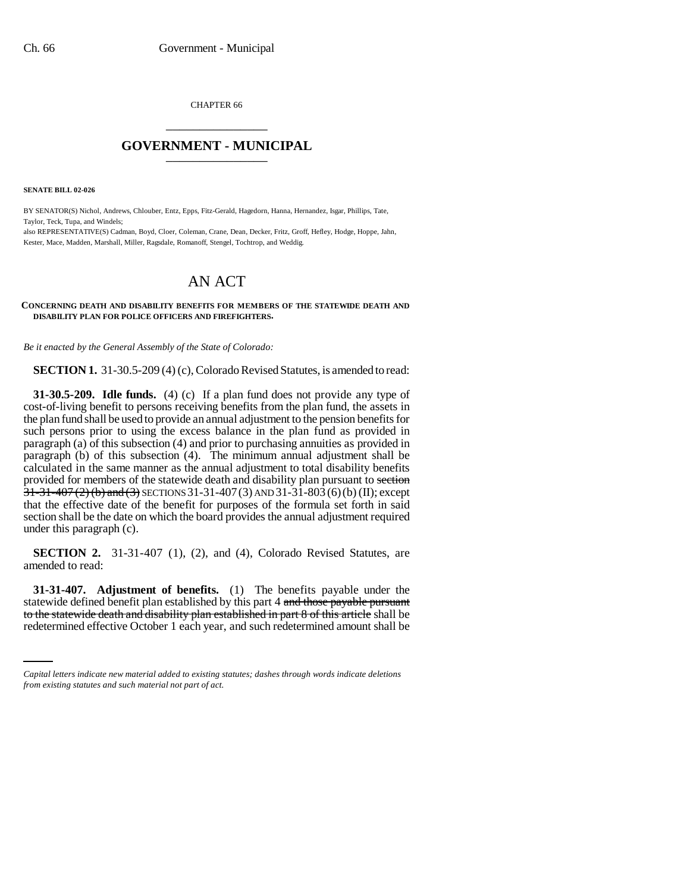CHAPTER 66 \_\_\_\_\_\_\_\_\_\_\_\_\_\_\_

## **GOVERNMENT - MUNICIPAL** \_\_\_\_\_\_\_\_\_\_\_\_\_\_\_

**SENATE BILL 02-026**

BY SENATOR(S) Nichol, Andrews, Chlouber, Entz, Epps, Fitz-Gerald, Hagedorn, Hanna, Hernandez, Isgar, Phillips, Tate, Taylor, Teck, Tupa, and Windels;

also REPRESENTATIVE(S) Cadman, Boyd, Cloer, Coleman, Crane, Dean, Decker, Fritz, Groff, Hefley, Hodge, Hoppe, Jahn, Kester, Mace, Madden, Marshall, Miller, Ragsdale, Romanoff, Stengel, Tochtrop, and Weddig.

# AN ACT

#### **CONCERNING DEATH AND DISABILITY BENEFITS FOR MEMBERS OF THE STATEWIDE DEATH AND DISABILITY PLAN FOR POLICE OFFICERS AND FIREFIGHTERS.**

*Be it enacted by the General Assembly of the State of Colorado:*

**SECTION 1.** 31-30.5-209 (4) (c), Colorado Revised Statutes, is amended to read:

**31-30.5-209. Idle funds.** (4) (c) If a plan fund does not provide any type of cost-of-living benefit to persons receiving benefits from the plan fund, the assets in the plan fund shall be used to provide an annual adjustment to the pension benefits for such persons prior to using the excess balance in the plan fund as provided in paragraph (a) of this subsection (4) and prior to purchasing annuities as provided in paragraph (b) of this subsection (4). The minimum annual adjustment shall be calculated in the same manner as the annual adjustment to total disability benefits provided for members of the statewide death and disability plan pursuant to section  $31-31-407$  (2) (b) and (3) SECTIONS 31-31-407 (3) AND 31-31-803 (6) (b) (II); except that the effective date of the benefit for purposes of the formula set forth in said section shall be the date on which the board provides the annual adjustment required under this paragraph (c).

**SECTION 2.** 31-31-407 (1), (2), and (4), Colorado Revised Statutes, are amended to read:

statewide defined benefit plan established by this part 4 and those payable pursuant **31-31-407. Adjustment of benefits.** (1) The benefits payable under the to the statewide death and disability plan established in part 8 of this article shall be redetermined effective October 1 each year, and such redetermined amount shall be

*Capital letters indicate new material added to existing statutes; dashes through words indicate deletions from existing statutes and such material not part of act.*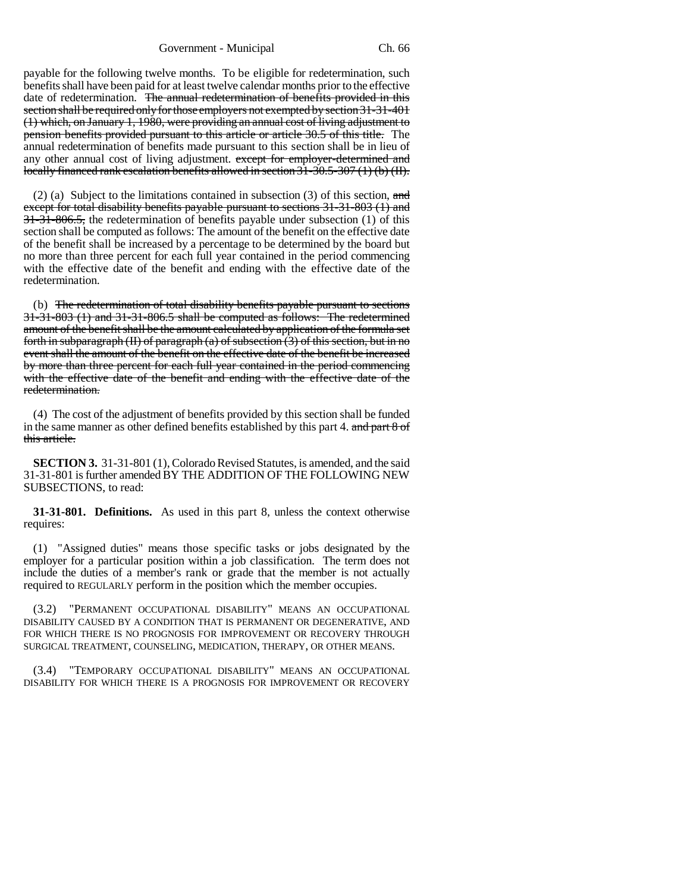Government - Municipal Ch. 66

payable for the following twelve months. To be eligible for redetermination, such benefits shall have been paid for at least twelve calendar months prior to the effective date of redetermination. The annual redetermination of benefits provided in this section shall be required only for those employers not exempted by section 31-31-401 (1) which, on January 1, 1980, were providing an annual cost of living adjustment to pension benefits provided pursuant to this article or article 30.5 of this title. The annual redetermination of benefits made pursuant to this section shall be in lieu of any other annual cost of living adjustment. except for employer-determined and locally financed rank escalation benefits allowed in section 31-30.5-307 (1) (b) (II).

(2) (a) Subject to the limitations contained in subsection (3) of this section, and except for total disability benefits payable pursuant to sections 31-31-803 (1) and 31-31-806.5, the redetermination of benefits payable under subsection (1) of this section shall be computed as follows: The amount of the benefit on the effective date of the benefit shall be increased by a percentage to be determined by the board but no more than three percent for each full year contained in the period commencing with the effective date of the benefit and ending with the effective date of the redetermination.

(b) The redetermination of total disability benefits payable pursuant to sections 31-31-803 (1) and 31-31-806.5 shall be computed as follows: The redetermined amount of the benefit shall be the amount calculated by application of the formula set forth in subparagraph (II) of paragraph (a) of subsection  $(3)$  of this section, but in no event shall the amount of the benefit on the effective date of the benefit be increased by more than three percent for each full year contained in the period commencing with the effective date of the benefit and ending with the effective date of the redetermination.

(4) The cost of the adjustment of benefits provided by this section shall be funded in the same manner as other defined benefits established by this part 4. and part 8 of this article.

**SECTION 3.** 31-31-801 (1), Colorado Revised Statutes, is amended, and the said 31-31-801 is further amended BY THE ADDITION OF THE FOLLOWING NEW SUBSECTIONS, to read:

**31-31-801. Definitions.** As used in this part 8, unless the context otherwise requires:

(1) "Assigned duties" means those specific tasks or jobs designated by the employer for a particular position within a job classification. The term does not include the duties of a member's rank or grade that the member is not actually required to REGULARLY perform in the position which the member occupies.

(3.2) "PERMANENT OCCUPATIONAL DISABILITY" MEANS AN OCCUPATIONAL DISABILITY CAUSED BY A CONDITION THAT IS PERMANENT OR DEGENERATIVE, AND FOR WHICH THERE IS NO PROGNOSIS FOR IMPROVEMENT OR RECOVERY THROUGH SURGICAL TREATMENT, COUNSELING, MEDICATION, THERAPY, OR OTHER MEANS.

(3.4) "TEMPORARY OCCUPATIONAL DISABILITY" MEANS AN OCCUPATIONAL DISABILITY FOR WHICH THERE IS A PROGNOSIS FOR IMPROVEMENT OR RECOVERY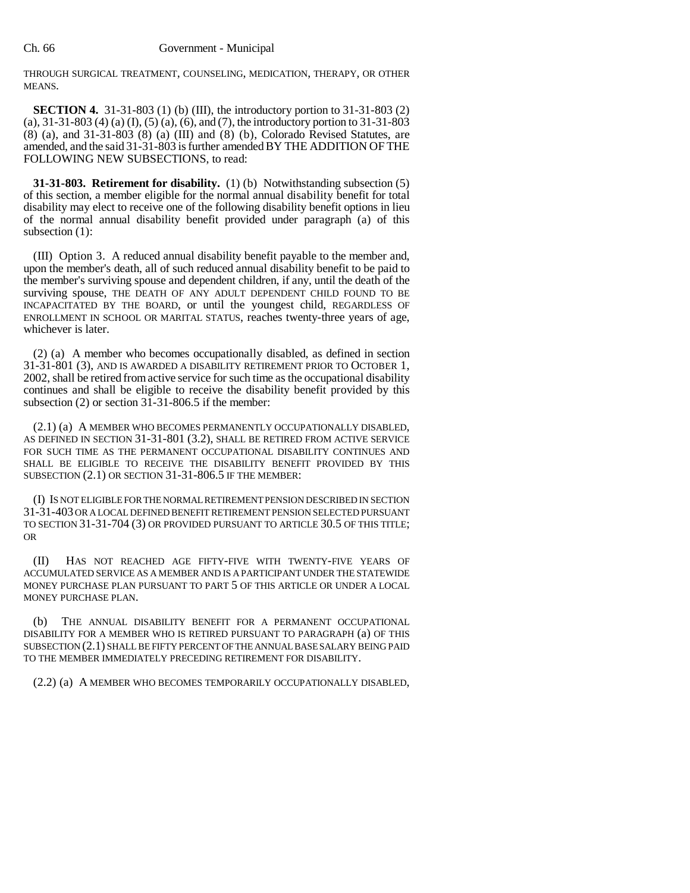THROUGH SURGICAL TREATMENT, COUNSELING, MEDICATION, THERAPY, OR OTHER MEANS.

**SECTION 4.** 31-31-803 (1) (b) (III), the introductory portion to 31-31-803 (2) (a), 31-31-803 (4) (a) (I), (5) (a), (6), and (7), the introductory portion to 31-31-803 (8) (a), and 31-31-803 (8) (a) (III) and (8) (b), Colorado Revised Statutes, are amended, and the said 31-31-803 is further amended BY THE ADDITION OF THE FOLLOWING NEW SUBSECTIONS, to read:

**31-31-803. Retirement for disability.** (1) (b) Notwithstanding subsection (5) of this section, a member eligible for the normal annual disability benefit for total disability may elect to receive one of the following disability benefit options in lieu of the normal annual disability benefit provided under paragraph (a) of this subsection (1):

(III) Option 3. A reduced annual disability benefit payable to the member and, upon the member's death, all of such reduced annual disability benefit to be paid to the member's surviving spouse and dependent children, if any, until the death of the surviving spouse, THE DEATH OF ANY ADULT DEPENDENT CHILD FOUND TO BE INCAPACITATED BY THE BOARD, or until the youngest child, REGARDLESS OF ENROLLMENT IN SCHOOL OR MARITAL STATUS, reaches twenty-three years of age, whichever is later.

(2) (a) A member who becomes occupationally disabled, as defined in section 31-31-801 (3), AND IS AWARDED A DISABILITY RETIREMENT PRIOR TO OCTOBER 1, 2002, shall be retired from active service for such time as the occupational disability continues and shall be eligible to receive the disability benefit provided by this subsection  $(2)$  or section  $3\overline{1}$ -31-806.5 if the member:

(2.1) (a) A MEMBER WHO BECOMES PERMANENTLY OCCUPATIONALLY DISABLED, AS DEFINED IN SECTION 31-31-801 (3.2), SHALL BE RETIRED FROM ACTIVE SERVICE FOR SUCH TIME AS THE PERMANENT OCCUPATIONAL DISABILITY CONTINUES AND SHALL BE ELIGIBLE TO RECEIVE THE DISABILITY BENEFIT PROVIDED BY THIS SUBSECTION (2.1) OR SECTION 31-31-806.5 IF THE MEMBER:

(I) IS NOT ELIGIBLE FOR THE NORMAL RETIREMENT PENSION DESCRIBED IN SECTION 31-31-403 OR A LOCAL DEFINED BENEFIT RETIREMENT PENSION SELECTED PURSUANT TO SECTION 31-31-704 (3) OR PROVIDED PURSUANT TO ARTICLE 30.5 OF THIS TITLE; OR

(II) HAS NOT REACHED AGE FIFTY-FIVE WITH TWENTY-FIVE YEARS OF ACCUMULATED SERVICE AS A MEMBER AND IS A PARTICIPANT UNDER THE STATEWIDE MONEY PURCHASE PLAN PURSUANT TO PART 5 OF THIS ARTICLE OR UNDER A LOCAL MONEY PURCHASE PLAN.

THE ANNUAL DISABILITY BENEFIT FOR A PERMANENT OCCUPATIONAL DISABILITY FOR A MEMBER WHO IS RETIRED PURSUANT TO PARAGRAPH (a) OF THIS SUBSECTION (2.1) SHALL BE FIFTY PERCENT OF THE ANNUAL BASE SALARY BEING PAID TO THE MEMBER IMMEDIATELY PRECEDING RETIREMENT FOR DISABILITY.

(2.2) (a) A MEMBER WHO BECOMES TEMPORARILY OCCUPATIONALLY DISABLED,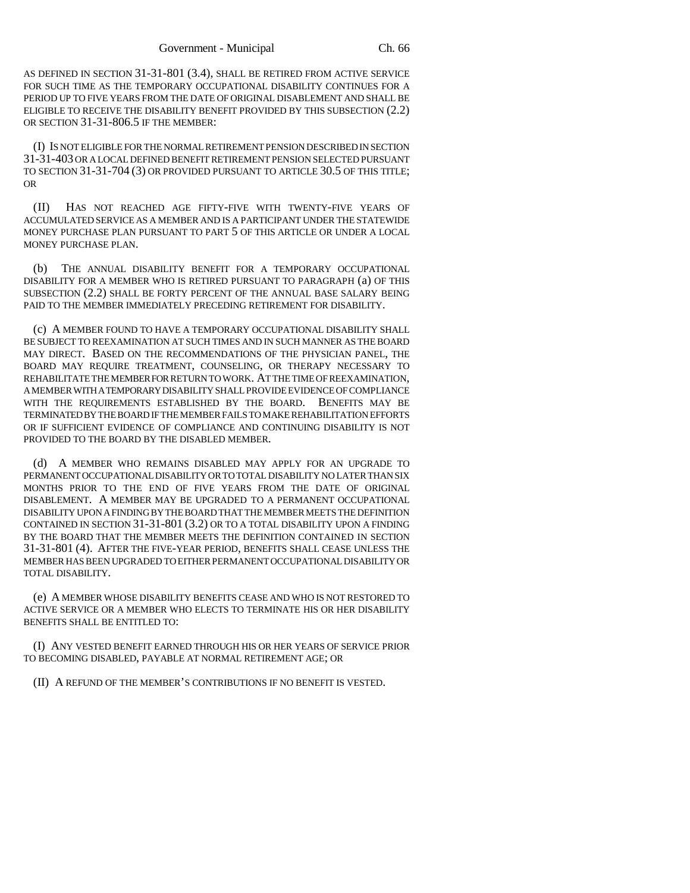AS DEFINED IN SECTION 31-31-801 (3.4), SHALL BE RETIRED FROM ACTIVE SERVICE FOR SUCH TIME AS THE TEMPORARY OCCUPATIONAL DISABILITY CONTINUES FOR A PERIOD UP TO FIVE YEARS FROM THE DATE OF ORIGINAL DISABLEMENT AND SHALL BE ELIGIBLE TO RECEIVE THE DISABILITY BENEFIT PROVIDED BY THIS SUBSECTION (2.2) OR SECTION 31-31-806.5 IF THE MEMBER:

(I) IS NOT ELIGIBLE FOR THE NORMAL RETIREMENT PENSION DESCRIBED IN SECTION 31-31-403 OR A LOCAL DEFINED BENEFIT RETIREMENT PENSION SELECTED PURSUANT TO SECTION 31-31-704 (3) OR PROVIDED PURSUANT TO ARTICLE 30.5 OF THIS TITLE; OR

(II) HAS NOT REACHED AGE FIFTY-FIVE WITH TWENTY-FIVE YEARS OF ACCUMULATED SERVICE AS A MEMBER AND IS A PARTICIPANT UNDER THE STATEWIDE MONEY PURCHASE PLAN PURSUANT TO PART 5 OF THIS ARTICLE OR UNDER A LOCAL MONEY PURCHASE PLAN.

(b) THE ANNUAL DISABILITY BENEFIT FOR A TEMPORARY OCCUPATIONAL DISABILITY FOR A MEMBER WHO IS RETIRED PURSUANT TO PARAGRAPH (a) OF THIS SUBSECTION (2.2) SHALL BE FORTY PERCENT OF THE ANNUAL BASE SALARY BEING PAID TO THE MEMBER IMMEDIATELY PRECEDING RETIREMENT FOR DISABILITY.

(c) A MEMBER FOUND TO HAVE A TEMPORARY OCCUPATIONAL DISABILITY SHALL BE SUBJECT TO REEXAMINATION AT SUCH TIMES AND IN SUCH MANNER AS THE BOARD MAY DIRECT. BASED ON THE RECOMMENDATIONS OF THE PHYSICIAN PANEL, THE BOARD MAY REQUIRE TREATMENT, COUNSELING, OR THERAPY NECESSARY TO REHABILITATE THE MEMBER FOR RETURN TO WORK. AT THE TIME OF REEXAMINATION, A MEMBER WITH A TEMPORARY DISABILITY SHALL PROVIDE EVIDENCE OF COMPLIANCE WITH THE REQUIREMENTS ESTABLISHED BY THE BOARD. BENEFITS MAY BE TERMINATED BY THE BOARD IF THE MEMBER FAILS TO MAKE REHABILITATION EFFORTS OR IF SUFFICIENT EVIDENCE OF COMPLIANCE AND CONTINUING DISABILITY IS NOT PROVIDED TO THE BOARD BY THE DISABLED MEMBER.

(d) A MEMBER WHO REMAINS DISABLED MAY APPLY FOR AN UPGRADE TO PERMANENT OCCUPATIONAL DISABILITY OR TO TOTAL DISABILITY NO LATER THAN SIX MONTHS PRIOR TO THE END OF FIVE YEARS FROM THE DATE OF ORIGINAL DISABLEMENT. A MEMBER MAY BE UPGRADED TO A PERMANENT OCCUPATIONAL DISABILITY UPON A FINDING BY THE BOARD THAT THE MEMBER MEETS THE DEFINITION CONTAINED IN SECTION 31-31-801 (3.2) OR TO A TOTAL DISABILITY UPON A FINDING BY THE BOARD THAT THE MEMBER MEETS THE DEFINITION CONTAINED IN SECTION 31-31-801 (4). AFTER THE FIVE-YEAR PERIOD, BENEFITS SHALL CEASE UNLESS THE MEMBER HAS BEEN UPGRADED TO EITHER PERMANENT OCCUPATIONAL DISABILITY OR TOTAL DISABILITY.

(e) A MEMBER WHOSE DISABILITY BENEFITS CEASE AND WHO IS NOT RESTORED TO ACTIVE SERVICE OR A MEMBER WHO ELECTS TO TERMINATE HIS OR HER DISABILITY BENEFITS SHALL BE ENTITLED TO:

(I) ANY VESTED BENEFIT EARNED THROUGH HIS OR HER YEARS OF SERVICE PRIOR TO BECOMING DISABLED, PAYABLE AT NORMAL RETIREMENT AGE; OR

(II) A REFUND OF THE MEMBER'S CONTRIBUTIONS IF NO BENEFIT IS VESTED.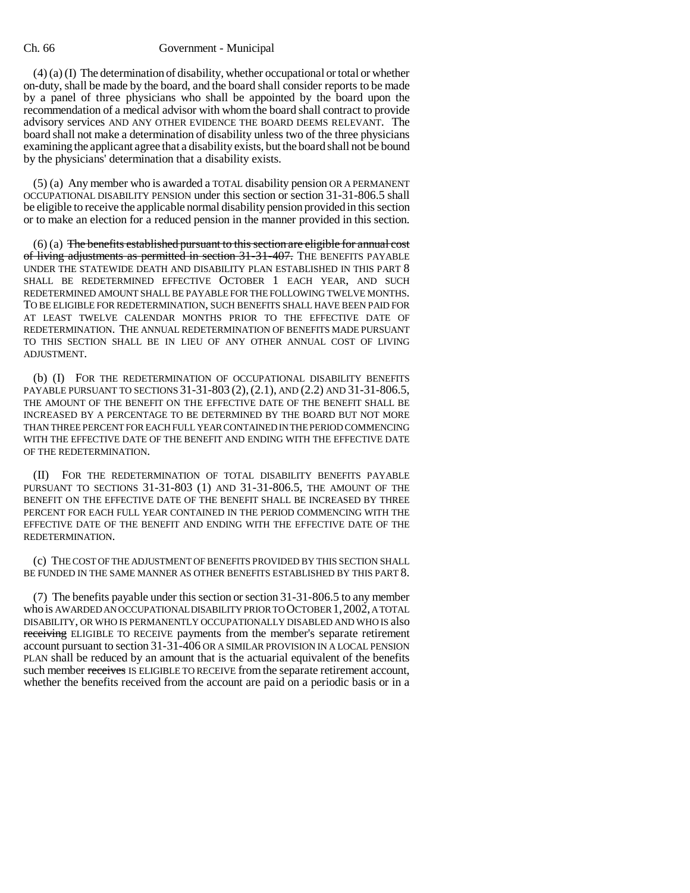## Ch. 66 Government - Municipal

(4) (a) (I) The determination of disability, whether occupational or total or whether on-duty, shall be made by the board, and the board shall consider reports to be made by a panel of three physicians who shall be appointed by the board upon the recommendation of a medical advisor with whom the board shall contract to provide advisory services AND ANY OTHER EVIDENCE THE BOARD DEEMS RELEVANT. The board shall not make a determination of disability unless two of the three physicians examining the applicant agree that a disability exists, but the board shall not be bound by the physicians' determination that a disability exists.

(5) (a) Any member who is awarded a TOTAL disability pension OR A PERMANENT OCCUPATIONAL DISABILITY PENSION under this section or section 31-31-806.5 shall be eligible to receive the applicable normal disability pension provided in this section or to make an election for a reduced pension in the manner provided in this section.

 $(6)$  (a) The benefits established pursuant to this section are eligible for annual cost of living adjustments as permitted in section 31-31-407. THE BENEFITS PAYABLE UNDER THE STATEWIDE DEATH AND DISABILITY PLAN ESTABLISHED IN THIS PART 8 SHALL BE REDETERMINED EFFECTIVE OCTOBER 1 EACH YEAR, AND SUCH REDETERMINED AMOUNT SHALL BE PAYABLE FOR THE FOLLOWING TWELVE MONTHS. TO BE ELIGIBLE FOR REDETERMINATION, SUCH BENEFITS SHALL HAVE BEEN PAID FOR AT LEAST TWELVE CALENDAR MONTHS PRIOR TO THE EFFECTIVE DATE OF REDETERMINATION. THE ANNUAL REDETERMINATION OF BENEFITS MADE PURSUANT TO THIS SECTION SHALL BE IN LIEU OF ANY OTHER ANNUAL COST OF LIVING ADJUSTMENT.

(b) (I) FOR THE REDETERMINATION OF OCCUPATIONAL DISABILITY BENEFITS PAYABLE PURSUANT TO SECTIONS 31-31-803 (2),(2.1), AND (2.2) AND 31-31-806.5, THE AMOUNT OF THE BENEFIT ON THE EFFECTIVE DATE OF THE BENEFIT SHALL BE INCREASED BY A PERCENTAGE TO BE DETERMINED BY THE BOARD BUT NOT MORE THAN THREE PERCENT FOR EACH FULL YEAR CONTAINED IN THE PERIOD COMMENCING WITH THE EFFECTIVE DATE OF THE BENEFIT AND ENDING WITH THE EFFECTIVE DATE OF THE REDETERMINATION.

(II) FOR THE REDETERMINATION OF TOTAL DISABILITY BENEFITS PAYABLE PURSUANT TO SECTIONS 31-31-803 (1) AND 31-31-806.5, THE AMOUNT OF THE BENEFIT ON THE EFFECTIVE DATE OF THE BENEFIT SHALL BE INCREASED BY THREE PERCENT FOR EACH FULL YEAR CONTAINED IN THE PERIOD COMMENCING WITH THE EFFECTIVE DATE OF THE BENEFIT AND ENDING WITH THE EFFECTIVE DATE OF THE REDETERMINATION.

(c) THE COST OF THE ADJUSTMENT OF BENEFITS PROVIDED BY THIS SECTION SHALL BE FUNDED IN THE SAME MANNER AS OTHER BENEFITS ESTABLISHED BY THIS PART 8.

(7) The benefits payable under this section or section 31-31-806.5 to any member who is AWARDED AN OCCUPATIONAL DISABILITY PRIOR TO OCTOBER 1,2002, A TOTAL DISABILITY, OR WHO IS PERMANENTLY OCCUPATIONALLY DISABLED AND WHO IS also receiving ELIGIBLE TO RECEIVE payments from the member's separate retirement account pursuant to section 31-31-406 OR A SIMILAR PROVISION IN A LOCAL PENSION PLAN shall be reduced by an amount that is the actuarial equivalent of the benefits such member receives IS ELIGIBLE TO RECEIVE from the separate retirement account, whether the benefits received from the account are paid on a periodic basis or in a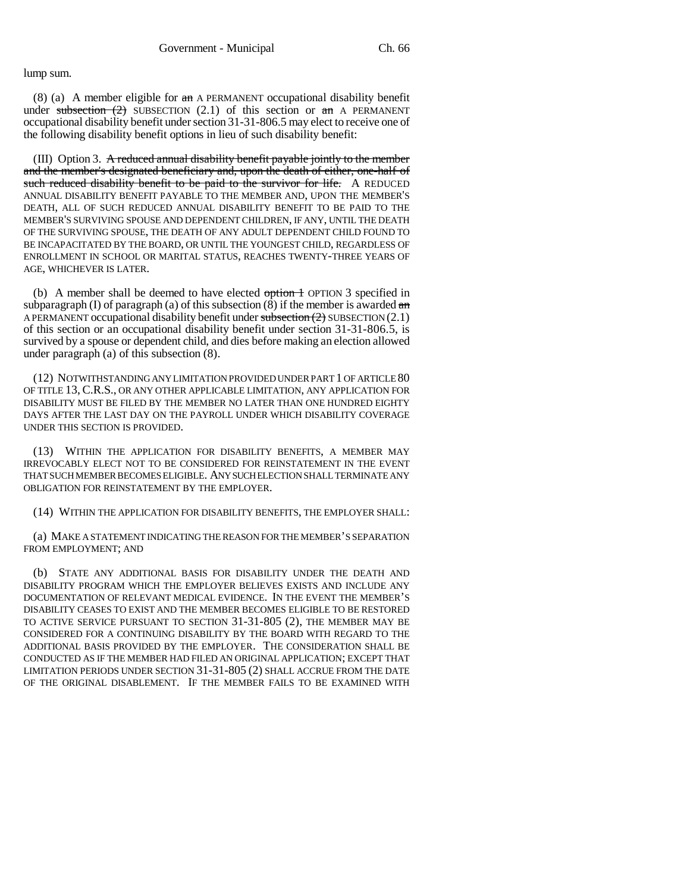#### lump sum.

(8) (a) A member eligible for an A PERMANENT occupational disability benefit under subsection  $(2)$  SUBSECTION  $(2.1)$  of this section or an A PERMANENT occupational disability benefit under section 31-31-806.5 may elect to receive one of the following disability benefit options in lieu of such disability benefit:

(III) Option 3. A reduced annual disability benefit payable jointly to the member and the member's designated beneficiary and, upon the death of either, one-half of such reduced disability benefit to be paid to the survivor for life. A REDUCED ANNUAL DISABILITY BENEFIT PAYABLE TO THE MEMBER AND, UPON THE MEMBER'S DEATH, ALL OF SUCH REDUCED ANNUAL DISABILITY BENEFIT TO BE PAID TO THE MEMBER'S SURVIVING SPOUSE AND DEPENDENT CHILDREN, IF ANY, UNTIL THE DEATH OF THE SURVIVING SPOUSE, THE DEATH OF ANY ADULT DEPENDENT CHILD FOUND TO BE INCAPACITATED BY THE BOARD, OR UNTIL THE YOUNGEST CHILD, REGARDLESS OF ENROLLMENT IN SCHOOL OR MARITAL STATUS, REACHES TWENTY-THREE YEARS OF AGE, WHICHEVER IS LATER.

(b) A member shall be deemed to have elected  $\frac{\partial \phi}{\partial r}$  option 3 specified in subparagraph (I) of paragraph (a) of this subsection  $(\overline{8})$  if the member is awarded an A PERMANENT occupational disability benefit under subsection (2) SUBSECTION (2.1) of this section or an occupational disability benefit under section 31-31-806.5, is survived by a spouse or dependent child, and dies before making an election allowed under paragraph (a) of this subsection (8).

(12) NOTWITHSTANDING ANY LIMITATION PROVIDED UNDER PART 1 OF ARTICLE 80 OF TITLE 13, C.R.S., OR ANY OTHER APPLICABLE LIMITATION, ANY APPLICATION FOR DISABILITY MUST BE FILED BY THE MEMBER NO LATER THAN ONE HUNDRED EIGHTY DAYS AFTER THE LAST DAY ON THE PAYROLL UNDER WHICH DISABILITY COVERAGE UNDER THIS SECTION IS PROVIDED.

(13) WITHIN THE APPLICATION FOR DISABILITY BENEFITS, A MEMBER MAY IRREVOCABLY ELECT NOT TO BE CONSIDERED FOR REINSTATEMENT IN THE EVENT THAT SUCH MEMBER BECOMES ELIGIBLE. ANY SUCH ELECTION SHALL TERMINATE ANY OBLIGATION FOR REINSTATEMENT BY THE EMPLOYER.

(14) WITHIN THE APPLICATION FOR DISABILITY BENEFITS, THE EMPLOYER SHALL:

(a) MAKE A STATEMENT INDICATING THE REASON FOR THE MEMBER'S SEPARATION FROM EMPLOYMENT; AND

(b) STATE ANY ADDITIONAL BASIS FOR DISABILITY UNDER THE DEATH AND DISABILITY PROGRAM WHICH THE EMPLOYER BELIEVES EXISTS AND INCLUDE ANY DOCUMENTATION OF RELEVANT MEDICAL EVIDENCE. IN THE EVENT THE MEMBER'S DISABILITY CEASES TO EXIST AND THE MEMBER BECOMES ELIGIBLE TO BE RESTORED TO ACTIVE SERVICE PURSUANT TO SECTION 31-31-805 (2), THE MEMBER MAY BE CONSIDERED FOR A CONTINUING DISABILITY BY THE BOARD WITH REGARD TO THE ADDITIONAL BASIS PROVIDED BY THE EMPLOYER. THE CONSIDERATION SHALL BE CONDUCTED AS IF THE MEMBER HAD FILED AN ORIGINAL APPLICATION; EXCEPT THAT LIMITATION PERIODS UNDER SECTION 31-31-805 (2) SHALL ACCRUE FROM THE DATE OF THE ORIGINAL DISABLEMENT. IF THE MEMBER FAILS TO BE EXAMINED WITH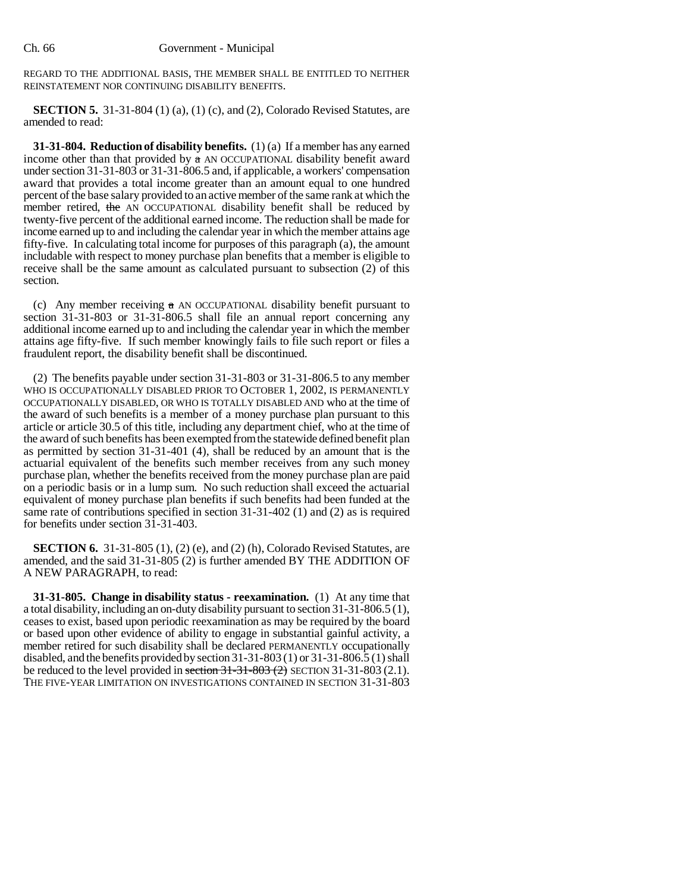REGARD TO THE ADDITIONAL BASIS, THE MEMBER SHALL BE ENTITLED TO NEITHER REINSTATEMENT NOR CONTINUING DISABILITY BENEFITS.

**SECTION 5.** 31-31-804 (1) (a), (1) (c), and (2), Colorado Revised Statutes, are amended to read:

**31-31-804. Reduction of disability benefits.** (1) (a) If a member has any earned income other than that provided by  $\alpha$  AN OCCUPATIONAL disability benefit award under section 31-31-803 or 31-31-806.5 and, if applicable, a workers' compensation award that provides a total income greater than an amount equal to one hundred percent of the base salary provided to an active member of the same rank at which the member retired, the AN OCCUPATIONAL disability benefit shall be reduced by twenty-five percent of the additional earned income. The reduction shall be made for income earned up to and including the calendar year in which the member attains age fifty-five. In calculating total income for purposes of this paragraph (a), the amount includable with respect to money purchase plan benefits that a member is eligible to receive shall be the same amount as calculated pursuant to subsection (2) of this section.

(c) Any member receiving  $\alpha$  AN OCCUPATIONAL disability benefit pursuant to section 31-31-803 or 31-31-806.5 shall file an annual report concerning any additional income earned up to and including the calendar year in which the member attains age fifty-five. If such member knowingly fails to file such report or files a fraudulent report, the disability benefit shall be discontinued.

(2) The benefits payable under section 31-31-803 or 31-31-806.5 to any member WHO IS OCCUPATIONALLY DISABLED PRIOR TO OCTOBER 1, 2002, IS PERMANENTLY OCCUPATIONALLY DISABLED, OR WHO IS TOTALLY DISABLED AND who at the time of the award of such benefits is a member of a money purchase plan pursuant to this article or article 30.5 of this title, including any department chief, who at the time of the award of such benefits has been exempted from the statewide defined benefit plan as permitted by section 31-31-401 (4), shall be reduced by an amount that is the actuarial equivalent of the benefits such member receives from any such money purchase plan, whether the benefits received from the money purchase plan are paid on a periodic basis or in a lump sum. No such reduction shall exceed the actuarial equivalent of money purchase plan benefits if such benefits had been funded at the same rate of contributions specified in section 31-31-402 (1) and (2) as is required for benefits under section 31-31-403.

**SECTION 6.** 31-31-805 (1), (2) (e), and (2) (h), Colorado Revised Statutes, are amended, and the said 31-31-805 (2) is further amended BY THE ADDITION OF A NEW PARAGRAPH, to read:

**31-31-805. Change in disability status - reexamination.** (1) At any time that a total disability, including an on-duty disability pursuant to section 31-31-806.5 (1), ceases to exist, based upon periodic reexamination as may be required by the board or based upon other evidence of ability to engage in substantial gainful activity, a member retired for such disability shall be declared PERMANENTLY occupationally disabled, and the benefits provided by section 31-31-803 (1) or 31-31-806.5 (1) shall be reduced to the level provided in section  $31-31-803$  (2) SECTION 31-31-803 (2.1). THE FIVE-YEAR LIMITATION ON INVESTIGATIONS CONTAINED IN SECTION 31-31-803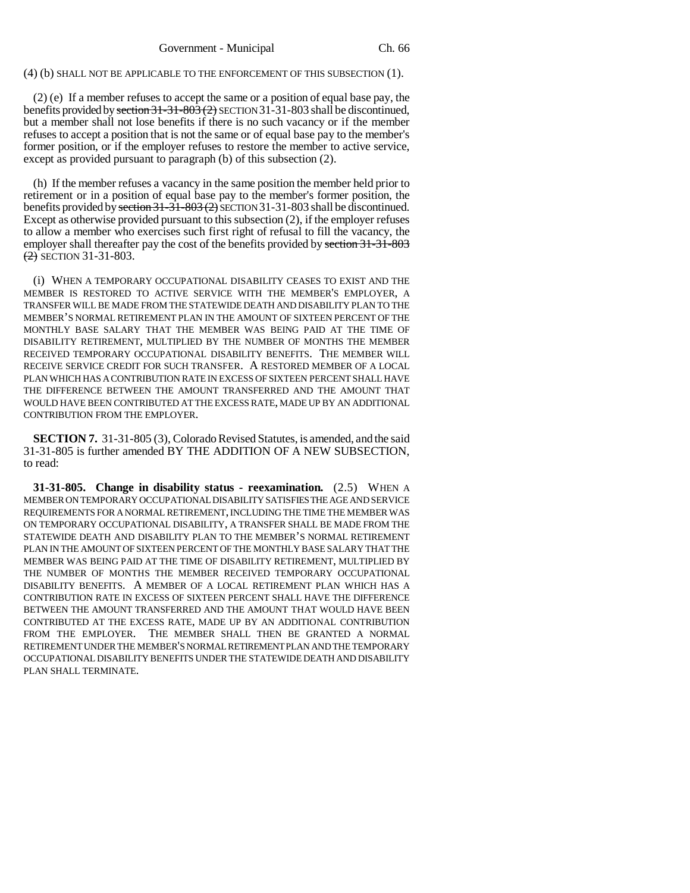(4) (b) SHALL NOT BE APPLICABLE TO THE ENFORCEMENT OF THIS SUBSECTION (1).

(2) (e) If a member refuses to accept the same or a position of equal base pay, the benefits provided by section  $31-31-803$  (2) SECTION 31-31-803 shall be discontinued, but a member shall not lose benefits if there is no such vacancy or if the member refuses to accept a position that is not the same or of equal base pay to the member's former position, or if the employer refuses to restore the member to active service, except as provided pursuant to paragraph (b) of this subsection (2).

(h) If the member refuses a vacancy in the same position the member held prior to retirement or in a position of equal base pay to the member's former position, the benefits provided by section  $31-31-803$  (2) SECTION 31-31-803 shall be discontinued. Except as otherwise provided pursuant to this subsection (2), if the employer refuses to allow a member who exercises such first right of refusal to fill the vacancy, the employer shall thereafter pay the cost of the benefits provided by section 31-31-803  $(2)$  SECTION 31-31-803.

(i) WHEN A TEMPORARY OCCUPATIONAL DISABILITY CEASES TO EXIST AND THE MEMBER IS RESTORED TO ACTIVE SERVICE WITH THE MEMBER'S EMPLOYER, A TRANSFER WILL BE MADE FROM THE STATEWIDE DEATH AND DISABILITY PLAN TO THE MEMBER'S NORMAL RETIREMENT PLAN IN THE AMOUNT OF SIXTEEN PERCENT OF THE MONTHLY BASE SALARY THAT THE MEMBER WAS BEING PAID AT THE TIME OF DISABILITY RETIREMENT, MULTIPLIED BY THE NUMBER OF MONTHS THE MEMBER RECEIVED TEMPORARY OCCUPATIONAL DISABILITY BENEFITS. THE MEMBER WILL RECEIVE SERVICE CREDIT FOR SUCH TRANSFER. A RESTORED MEMBER OF A LOCAL PLAN WHICH HAS A CONTRIBUTION RATE IN EXCESS OF SIXTEEN PERCENT SHALL HAVE THE DIFFERENCE BETWEEN THE AMOUNT TRANSFERRED AND THE AMOUNT THAT WOULD HAVE BEEN CONTRIBUTED AT THE EXCESS RATE, MADE UP BY AN ADDITIONAL CONTRIBUTION FROM THE EMPLOYER.

**SECTION 7.** 31-31-805 (3), Colorado Revised Statutes, is amended, and the said 31-31-805 is further amended BY THE ADDITION OF A NEW SUBSECTION, to read:

**31-31-805. Change in disability status - reexamination.** (2.5) WHEN A MEMBER ON TEMPORARY OCCUPATIONAL DISABILITY SATISFIES THE AGE AND SERVICE REQUIREMENTS FOR A NORMAL RETIREMENT, INCLUDING THE TIME THE MEMBER WAS ON TEMPORARY OCCUPATIONAL DISABILITY, A TRANSFER SHALL BE MADE FROM THE STATEWIDE DEATH AND DISABILITY PLAN TO THE MEMBER'S NORMAL RETIREMENT PLAN IN THE AMOUNT OF SIXTEEN PERCENT OF THE MONTHLY BASE SALARY THAT THE MEMBER WAS BEING PAID AT THE TIME OF DISABILITY RETIREMENT, MULTIPLIED BY THE NUMBER OF MONTHS THE MEMBER RECEIVED TEMPORARY OCCUPATIONAL DISABILITY BENEFITS. A MEMBER OF A LOCAL RETIREMENT PLAN WHICH HAS A CONTRIBUTION RATE IN EXCESS OF SIXTEEN PERCENT SHALL HAVE THE DIFFERENCE BETWEEN THE AMOUNT TRANSFERRED AND THE AMOUNT THAT WOULD HAVE BEEN CONTRIBUTED AT THE EXCESS RATE, MADE UP BY AN ADDITIONAL CONTRIBUTION FROM THE EMPLOYER. THE MEMBER SHALL THEN BE GRANTED A NORMAL RETIREMENT UNDER THE MEMBER'S NORMAL RETIREMENT PLAN AND THE TEMPORARY OCCUPATIONAL DISABILITY BENEFITS UNDER THE STATEWIDE DEATH AND DISABILITY PLAN SHALL TERMINATE.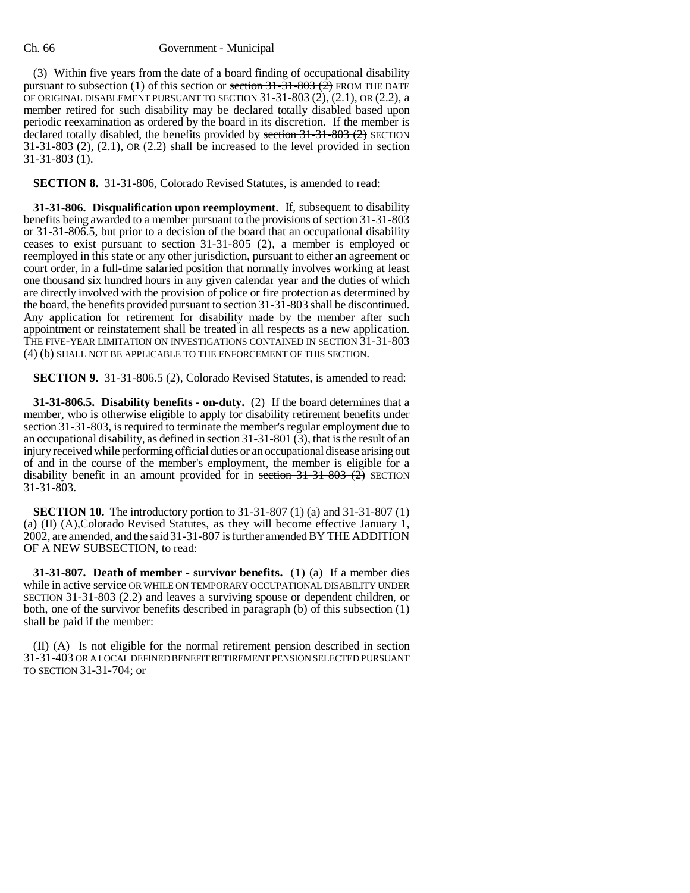### Ch. 66 Government - Municipal

(3) Within five years from the date of a board finding of occupational disability pursuant to subsection (1) of this section or section  $31-31-803(2)$  FROM THE DATE OF ORIGINAL DISABLEMENT PURSUANT TO SECTION 31-31-803 (2), (2.1), OR (2.2), a member retired for such disability may be declared totally disabled based upon periodic reexamination as ordered by the board in its discretion. If the member is declared totally disabled, the benefits provided by section  $31-31-803$  (2) SECTION 31-31-803 (2), (2.1), OR (2.2) shall be increased to the level provided in section 31-31-803 (1).

**SECTION 8.** 31-31-806, Colorado Revised Statutes, is amended to read:

**31-31-806. Disqualification upon reemployment.** If, subsequent to disability benefits being awarded to a member pursuant to the provisions of section 31-31-803 or 31-31-806.5, but prior to a decision of the board that an occupational disability ceases to exist pursuant to section 31-31-805 (2), a member is employed or reemployed in this state or any other jurisdiction, pursuant to either an agreement or court order, in a full-time salaried position that normally involves working at least one thousand six hundred hours in any given calendar year and the duties of which are directly involved with the provision of police or fire protection as determined by the board, the benefits provided pursuant to section 31-31-803 shall be discontinued. Any application for retirement for disability made by the member after such appointment or reinstatement shall be treated in all respects as a new application. THE FIVE-YEAR LIMITATION ON INVESTIGATIONS CONTAINED IN SECTION 31-31-803 (4) (b) SHALL NOT BE APPLICABLE TO THE ENFORCEMENT OF THIS SECTION.

**SECTION 9.** 31-31-806.5 (2), Colorado Revised Statutes, is amended to read:

**31-31-806.5. Disability benefits - on-duty.** (2) If the board determines that a member, who is otherwise eligible to apply for disability retirement benefits under section 31-31-803, is required to terminate the member's regular employment due to an occupational disability, as defined in section 31-31-801 (3), that is the result of an injury received while performing official duties or an occupational disease arising out of and in the course of the member's employment, the member is eligible for a disability benefit in an amount provided for in section  $31-31-803$  (2) SECTION 31-31-803.

**SECTION 10.** The introductory portion to 31-31-807 (1) (a) and 31-31-807 (1) (a) (II) (A),Colorado Revised Statutes, as they will become effective January 1, 2002, are amended, and the said 31-31-807 is further amended BY THE ADDITION OF A NEW SUBSECTION, to read:

**31-31-807. Death of member - survivor benefits.** (1) (a) If a member dies while in active service OR WHILE ON TEMPORARY OCCUPATIONAL DISABILITY UNDER SECTION 31-31-803 (2.2) and leaves a surviving spouse or dependent children, or both, one of the survivor benefits described in paragraph (b) of this subsection (1) shall be paid if the member:

(II) (A) Is not eligible for the normal retirement pension described in section 31-31-403 OR A LOCAL DEFINED BENEFIT RETIREMENT PENSION SELECTED PURSUANT TO SECTION 31-31-704; or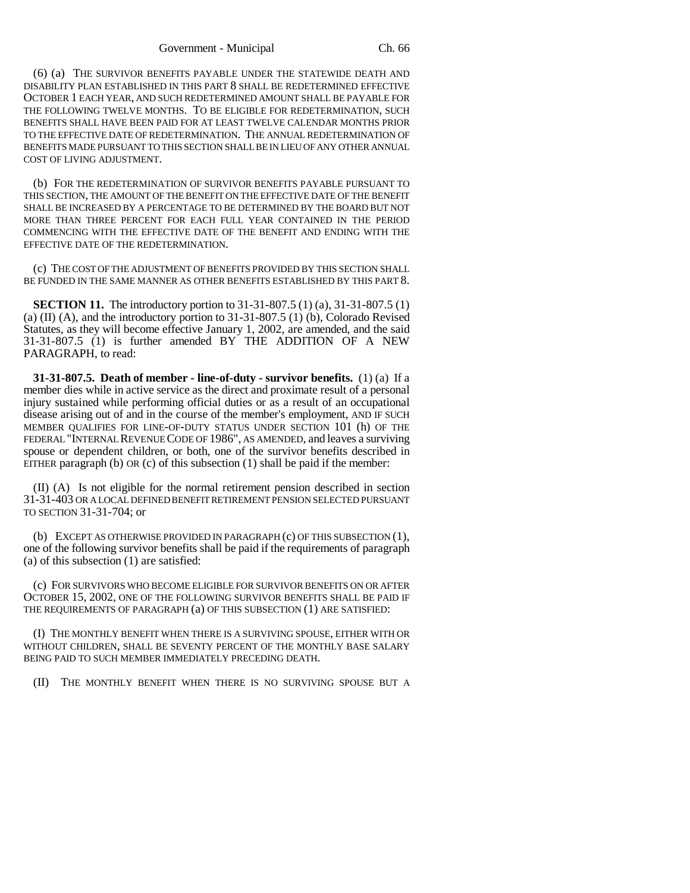(6) (a) THE SURVIVOR BENEFITS PAYABLE UNDER THE STATEWIDE DEATH AND DISABILITY PLAN ESTABLISHED IN THIS PART 8 SHALL BE REDETERMINED EFFECTIVE OCTOBER 1 EACH YEAR, AND SUCH REDETERMINED AMOUNT SHALL BE PAYABLE FOR THE FOLLOWING TWELVE MONTHS. TO BE ELIGIBLE FOR REDETERMINATION, SUCH BENEFITS SHALL HAVE BEEN PAID FOR AT LEAST TWELVE CALENDAR MONTHS PRIOR TO THE EFFECTIVE DATE OF REDETERMINATION. THE ANNUAL REDETERMINATION OF BENEFITS MADE PURSUANT TO THIS SECTION SHALL BE IN LIEU OF ANY OTHER ANNUAL COST OF LIVING ADJUSTMENT.

(b) FOR THE REDETERMINATION OF SURVIVOR BENEFITS PAYABLE PURSUANT TO THIS SECTION, THE AMOUNT OF THE BENEFIT ON THE EFFECTIVE DATE OF THE BENEFIT SHALL BE INCREASED BY A PERCENTAGE TO BE DETERMINED BY THE BOARD BUT NOT MORE THAN THREE PERCENT FOR EACH FULL YEAR CONTAINED IN THE PERIOD COMMENCING WITH THE EFFECTIVE DATE OF THE BENEFIT AND ENDING WITH THE EFFECTIVE DATE OF THE REDETERMINATION.

(c) THE COST OF THE ADJUSTMENT OF BENEFITS PROVIDED BY THIS SECTION SHALL BE FUNDED IN THE SAME MANNER AS OTHER BENEFITS ESTABLISHED BY THIS PART 8.

**SECTION 11.** The introductory portion to 31-31-807.5 (1) (a), 31-31-807.5 (1) (a) (II) (A), and the introductory portion to 31-31-807.5 (1) (b), Colorado Revised Statutes, as they will become effective January 1, 2002, are amended, and the said 31-31-807.5 (1) is further amended BY THE ADDITION OF A NEW PARAGRAPH, to read:

**31-31-807.5. Death of member - line-of-duty - survivor benefits.** (1) (a) If a member dies while in active service as the direct and proximate result of a personal injury sustained while performing official duties or as a result of an occupational disease arising out of and in the course of the member's employment, AND IF SUCH MEMBER QUALIFIES FOR LINE-OF-DUTY STATUS UNDER SECTION 101 (h) OF THE FEDERAL "INTERNAL REVENUE CODE OF 1986", AS AMENDED, and leaves a surviving spouse or dependent children, or both, one of the survivor benefits described in EITHER paragraph (b) OR (c) of this subsection  $(1)$  shall be paid if the member:

(II) (A) Is not eligible for the normal retirement pension described in section 31-31-403 OR A LOCAL DEFINED BENEFIT RETIREMENT PENSION SELECTED PURSUANT TO SECTION 31-31-704; or

(b) EXCEPT AS OTHERWISE PROVIDED IN PARAGRAPH (c) OF THIS SUBSECTION (1), one of the following survivor benefits shall be paid if the requirements of paragraph (a) of this subsection (1) are satisfied:

(c) FOR SURVIVORS WHO BECOME ELIGIBLE FOR SURVIVOR BENEFITS ON OR AFTER OCTOBER 15, 2002, ONE OF THE FOLLOWING SURVIVOR BENEFITS SHALL BE PAID IF THE REQUIREMENTS OF PARAGRAPH (a) OF THIS SUBSECTION (1) ARE SATISFIED:

(I) THE MONTHLY BENEFIT WHEN THERE IS A SURVIVING SPOUSE, EITHER WITH OR WITHOUT CHILDREN, SHALL BE SEVENTY PERCENT OF THE MONTHLY BASE SALARY BEING PAID TO SUCH MEMBER IMMEDIATELY PRECEDING DEATH.

(II) THE MONTHLY BENEFIT WHEN THERE IS NO SURVIVING SPOUSE BUT A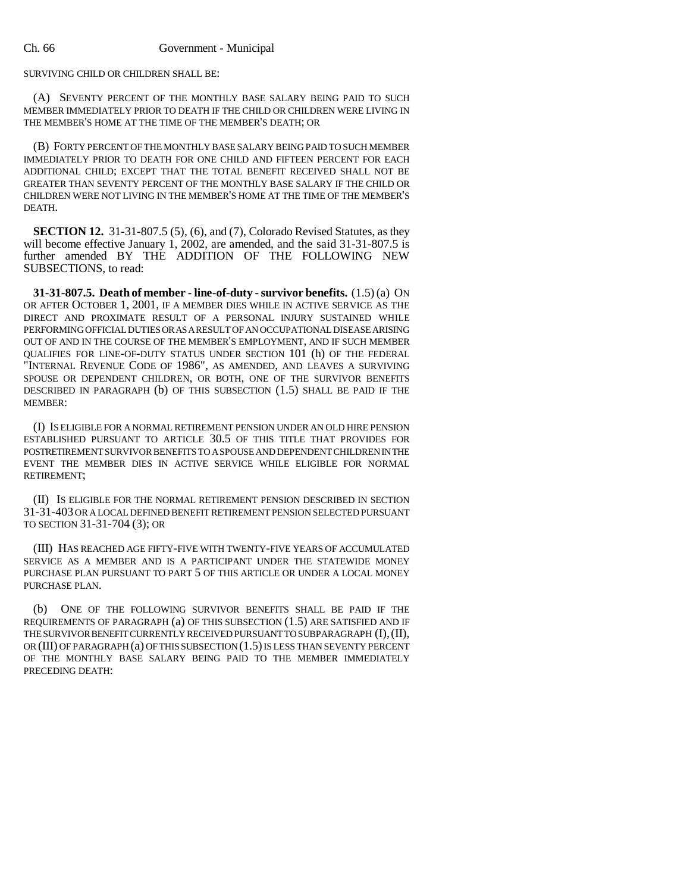SURVIVING CHILD OR CHILDREN SHALL BE:

(A) SEVENTY PERCENT OF THE MONTHLY BASE SALARY BEING PAID TO SUCH MEMBER IMMEDIATELY PRIOR TO DEATH IF THE CHILD OR CHILDREN WERE LIVING IN THE MEMBER'S HOME AT THE TIME OF THE MEMBER'S DEATH; OR

(B) FORTY PERCENT OF THE MONTHLY BASE SALARY BEING PAID TO SUCH MEMBER IMMEDIATELY PRIOR TO DEATH FOR ONE CHILD AND FIFTEEN PERCENT FOR EACH ADDITIONAL CHILD; EXCEPT THAT THE TOTAL BENEFIT RECEIVED SHALL NOT BE GREATER THAN SEVENTY PERCENT OF THE MONTHLY BASE SALARY IF THE CHILD OR CHILDREN WERE NOT LIVING IN THE MEMBER'S HOME AT THE TIME OF THE MEMBER'S DEATH.

**SECTION 12.** 31-31-807.5 (5), (6), and (7), Colorado Revised Statutes, as they will become effective January 1, 2002, are amended, and the said 31-31-807.5 is further amended BY THE ADDITION OF THE FOLLOWING NEW SUBSECTIONS, to read:

**31-31-807.5. Death of member - line-of-duty - survivor benefits.** (1.5) (a) ON OR AFTER OCTOBER 1, 2001, IF A MEMBER DIES WHILE IN ACTIVE SERVICE AS THE DIRECT AND PROXIMATE RESULT OF A PERSONAL INJURY SUSTAINED WHILE PERFORMING OFFICIAL DUTIES OR AS A RESULT OF AN OCCUPATIONAL DISEASE ARISING OUT OF AND IN THE COURSE OF THE MEMBER'S EMPLOYMENT, AND IF SUCH MEMBER QUALIFIES FOR LINE-OF-DUTY STATUS UNDER SECTION 101 (h) OF THE FEDERAL "INTERNAL REVENUE CODE OF 1986", AS AMENDED, AND LEAVES A SURVIVING SPOUSE OR DEPENDENT CHILDREN, OR BOTH, ONE OF THE SURVIVOR BENEFITS DESCRIBED IN PARAGRAPH (b) OF THIS SUBSECTION (1.5) SHALL BE PAID IF THE MEMBER:

(I) IS ELIGIBLE FOR A NORMAL RETIREMENT PENSION UNDER AN OLD HIRE PENSION ESTABLISHED PURSUANT TO ARTICLE 30.5 OF THIS TITLE THAT PROVIDES FOR POSTRETIREMENT SURVIVOR BENEFITS TO A SPOUSE AND DEPENDENT CHILDREN IN THE EVENT THE MEMBER DIES IN ACTIVE SERVICE WHILE ELIGIBLE FOR NORMAL RETIREMENT;

(II) IS ELIGIBLE FOR THE NORMAL RETIREMENT PENSION DESCRIBED IN SECTION 31-31-403 OR A LOCAL DEFINED BENEFIT RETIREMENT PENSION SELECTED PURSUANT TO SECTION 31-31-704 (3); OR

(III) HAS REACHED AGE FIFTY-FIVE WITH TWENTY-FIVE YEARS OF ACCUMULATED SERVICE AS A MEMBER AND IS A PARTICIPANT UNDER THE STATEWIDE MONEY PURCHASE PLAN PURSUANT TO PART 5 OF THIS ARTICLE OR UNDER A LOCAL MONEY PURCHASE PLAN.

(b) ONE OF THE FOLLOWING SURVIVOR BENEFITS SHALL BE PAID IF THE REQUIREMENTS OF PARAGRAPH (a) OF THIS SUBSECTION (1.5) ARE SATISFIED AND IF THE SURVIVOR BENEFIT CURRENTLY RECEIVED PURSUANT TO SUBPARAGRAPH (I),(II), OR (III) OF PARAGRAPH (a) OF THIS SUBSECTION (1.5) IS LESS THAN SEVENTY PERCENT OF THE MONTHLY BASE SALARY BEING PAID TO THE MEMBER IMMEDIATELY PRECEDING DEATH: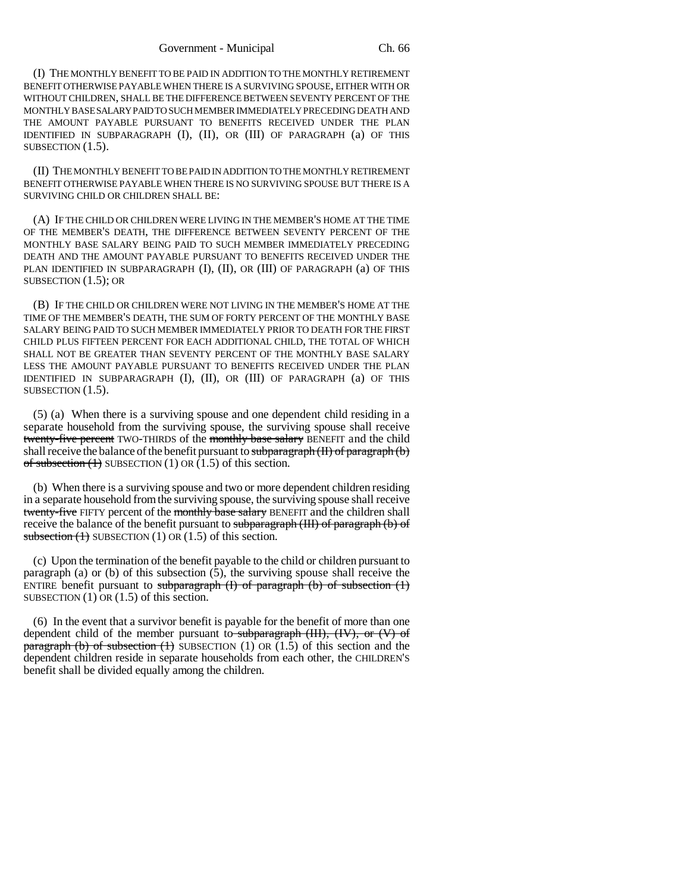(I) THE MONTHLY BENEFIT TO BE PAID IN ADDITION TO THE MONTHLY RETIREMENT BENEFIT OTHERWISE PAYABLE WHEN THERE IS A SURVIVING SPOUSE, EITHER WITH OR WITHOUT CHILDREN, SHALL BE THE DIFFERENCE BETWEEN SEVENTY PERCENT OF THE MONTHLY BASE SALARY PAID TO SUCH MEMBER IMMEDIATELY PRECEDING DEATH AND THE AMOUNT PAYABLE PURSUANT TO BENEFITS RECEIVED UNDER THE PLAN IDENTIFIED IN SUBPARAGRAPH (I), (II), OR (III) OF PARAGRAPH (a) OF THIS SUBSECTION  $(1.5)$ .

(II) THE MONTHLY BENEFIT TO BE PAID IN ADDITION TO THE MONTHLY RETIREMENT BENEFIT OTHERWISE PAYABLE WHEN THERE IS NO SURVIVING SPOUSE BUT THERE IS A SURVIVING CHILD OR CHILDREN SHALL BE:

(A) IF THE CHILD OR CHILDREN WERE LIVING IN THE MEMBER'S HOME AT THE TIME OF THE MEMBER'S DEATH, THE DIFFERENCE BETWEEN SEVENTY PERCENT OF THE MONTHLY BASE SALARY BEING PAID TO SUCH MEMBER IMMEDIATELY PRECEDING DEATH AND THE AMOUNT PAYABLE PURSUANT TO BENEFITS RECEIVED UNDER THE PLAN IDENTIFIED IN SUBPARAGRAPH (I), (II), OR (III) OF PARAGRAPH (a) OF THIS SUBSECTION (1.5); OR

(B) IF THE CHILD OR CHILDREN WERE NOT LIVING IN THE MEMBER'S HOME AT THE TIME OF THE MEMBER'S DEATH, THE SUM OF FORTY PERCENT OF THE MONTHLY BASE SALARY BEING PAID TO SUCH MEMBER IMMEDIATELY PRIOR TO DEATH FOR THE FIRST CHILD PLUS FIFTEEN PERCENT FOR EACH ADDITIONAL CHILD, THE TOTAL OF WHICH SHALL NOT BE GREATER THAN SEVENTY PERCENT OF THE MONTHLY BASE SALARY LESS THE AMOUNT PAYABLE PURSUANT TO BENEFITS RECEIVED UNDER THE PLAN IDENTIFIED IN SUBPARAGRAPH (I), (II), OR (III) OF PARAGRAPH (a) OF THIS SUBSECTION  $(1.5)$ .

(5) (a) When there is a surviving spouse and one dependent child residing in a separate household from the surviving spouse, the surviving spouse shall receive twenty-five percent TWO-THIRDS of the monthly base salary BENEFIT and the child shall receive the balance of the benefit pursuant to subparagraph  $(H)$  of paragraph  $(b)$ of subsection  $(1)$  SUBSECTION  $(1)$  OR  $(1.5)$  of this section.

(b) When there is a surviving spouse and two or more dependent children residing in a separate household from the surviving spouse, the surviving spouse shall receive twenty-five FIFTY percent of the monthly base salary BENEFIT and the children shall receive the balance of the benefit pursuant to subparagraph (III) of paragraph (b) of subsection  $(1)$  SUBSECTION  $(1)$  OR  $(1.5)$  of this section.

(c) Upon the termination of the benefit payable to the child or children pursuant to paragraph (a) or (b) of this subsection (5), the surviving spouse shall receive the ENTIRE benefit pursuant to subparagraph  $(I)$  of paragraph  $(b)$  of subsection  $(I)$ SUBSECTION  $(1)$  OR  $(1.5)$  of this section.

(6) In the event that a survivor benefit is payable for the benefit of more than one dependent child of the member pursuant to subparagraph  $(HI)$ ,  $(HV)$ , or  $(V)$  of paragraph (b) of subsection (1) SUBSECTION (1) OR  $(1.5)$  of this section and the dependent children reside in separate households from each other, the CHILDREN'S benefit shall be divided equally among the children.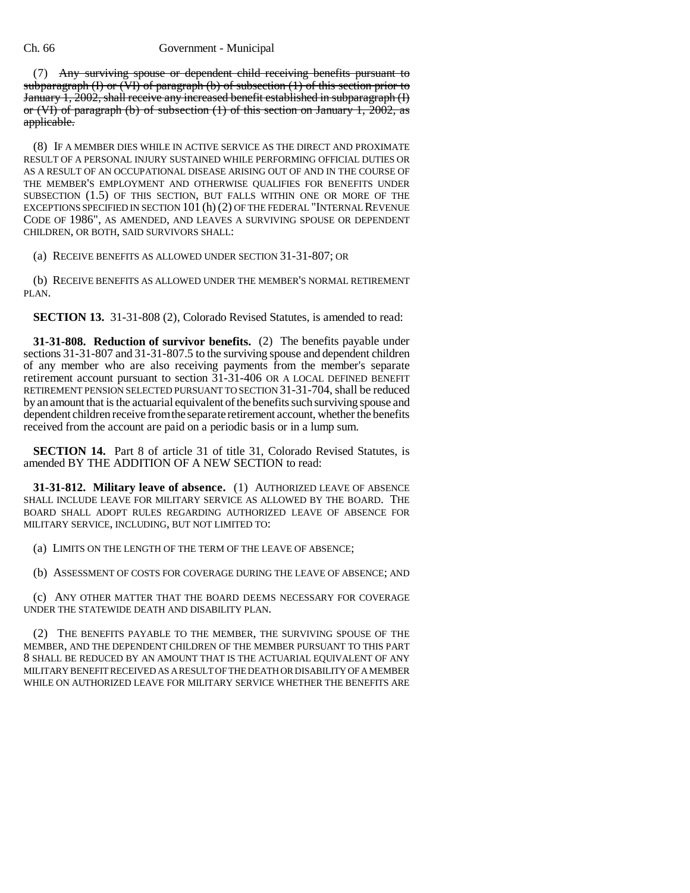### Ch. 66 Government - Municipal

(7) Any surviving spouse or dependent child receiving benefits pursuant to subparagraph (I) or (VI) of paragraph (b) of subsection (1) of this section prior to January 1, 2002, shall receive any increased benefit established in subparagraph (I) or (VI) of paragraph (b) of subsection  $(1)$  of this section on January 1, 2002, as applicable.

(8) IF A MEMBER DIES WHILE IN ACTIVE SERVICE AS THE DIRECT AND PROXIMATE RESULT OF A PERSONAL INJURY SUSTAINED WHILE PERFORMING OFFICIAL DUTIES OR AS A RESULT OF AN OCCUPATIONAL DISEASE ARISING OUT OF AND IN THE COURSE OF THE MEMBER'S EMPLOYMENT AND OTHERWISE QUALIFIES FOR BENEFITS UNDER SUBSECTION (1.5) OF THIS SECTION, BUT FALLS WITHIN ONE OR MORE OF THE EXCEPTIONS SPECIFIED IN SECTION 101 (h) (2) OF THE FEDERAL "INTERNAL REVENUE CODE OF 1986", AS AMENDED, AND LEAVES A SURVIVING SPOUSE OR DEPENDENT CHILDREN, OR BOTH, SAID SURVIVORS SHALL:

(a) RECEIVE BENEFITS AS ALLOWED UNDER SECTION 31-31-807; OR

(b) RECEIVE BENEFITS AS ALLOWED UNDER THE MEMBER'S NORMAL RETIREMENT PLAN.

**SECTION 13.** 31-31-808 (2), Colorado Revised Statutes, is amended to read:

**31-31-808. Reduction of survivor benefits.** (2) The benefits payable under sections 31-31-807 and 31-31-807.5 to the surviving spouse and dependent children of any member who are also receiving payments from the member's separate retirement account pursuant to section 31-31-406 OR A LOCAL DEFINED BENEFIT RETIREMENT PENSION SELECTED PURSUANT TO SECTION 31-31-704, shall be reduced by an amount that is the actuarial equivalent of the benefits such surviving spouse and dependent children receive from the separate retirement account, whether the benefits received from the account are paid on a periodic basis or in a lump sum.

**SECTION 14.** Part 8 of article 31 of title 31, Colorado Revised Statutes, is amended BY THE ADDITION OF A NEW SECTION to read:

**31-31-812. Military leave of absence.** (1) AUTHORIZED LEAVE OF ABSENCE SHALL INCLUDE LEAVE FOR MILITARY SERVICE AS ALLOWED BY THE BOARD. THE BOARD SHALL ADOPT RULES REGARDING AUTHORIZED LEAVE OF ABSENCE FOR MILITARY SERVICE, INCLUDING, BUT NOT LIMITED TO:

(a) LIMITS ON THE LENGTH OF THE TERM OF THE LEAVE OF ABSENCE;

(b) ASSESSMENT OF COSTS FOR COVERAGE DURING THE LEAVE OF ABSENCE; AND

(c) ANY OTHER MATTER THAT THE BOARD DEEMS NECESSARY FOR COVERAGE UNDER THE STATEWIDE DEATH AND DISABILITY PLAN.

(2) THE BENEFITS PAYABLE TO THE MEMBER, THE SURVIVING SPOUSE OF THE MEMBER, AND THE DEPENDENT CHILDREN OF THE MEMBER PURSUANT TO THIS PART 8 SHALL BE REDUCED BY AN AMOUNT THAT IS THE ACTUARIAL EQUIVALENT OF ANY MILITARY BENEFIT RECEIVED AS A RESULT OF THE DEATH OR DISABILITY OF A MEMBER WHILE ON AUTHORIZED LEAVE FOR MILITARY SERVICE WHETHER THE BENEFITS ARE